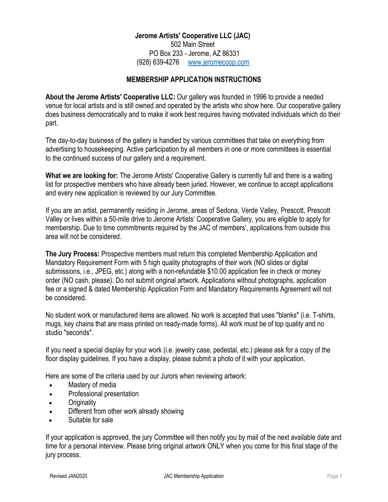### **Jerome Artists' Cooperative LLC (JAC)**

502 Main Street PO Box 233 - Jerome, AZ 86331 (928) 639-4276 www.jeromecoop.com

### **MEMBERSHIP APPLICATION INSTRUCTIONS**

**About the Jerome Artists' Cooperative LLC:** Our gallery was founded in 1996 to provide a needed venue for local artists and is still owned and operated by the artists who show here. Our cooperative gallery does business democratically and to make it work best requires having motivated individuals which do their part.

The day-to-day business of the gallery is handled by various committees that take on everything from advertising to housekeeping. Active participation by all members in one or more committees is essential to the continued success of our gallery and a requirement.

**What we are looking for:** The Jerome Artists' Cooperative Gallery is currently full and there is a waiting list for prospective members who have already been juried. However, we continue to accept applications and every new application is reviewed by our Jury Committee.

If you are an artist, permanently residing in Jerome, areas of Sedona, Verde Valley, Prescott, Prescott Valley or lives within a 50-mile drive to Jerome Artists' Cooperative Gallery, you are eligible to apply for membership. Due to time commitments required by the JAC of members', applications from outside this area will not be considered.

**The Jury Process:** Prospective members must return this completed Membership Application and Mandatory Requirement Form with 5 high quality photographs of their work (NO slides or digital submissions, i.e., JPEG, etc.) along with a non-refundable \$10.00 application fee in check or money order (NO cash, please). Do not submit original artwork. Applications without photographs, application fee or a signed & dated Membership Application Form and Mandatory Requirements Agreement will not be considered.

No student work or manufactured items are allowed. No work is accepted that uses "blanks" (i.e. T-shirts, mugs, key chains that are mass printed on ready-made forms). All work must be of top quality and no studio "seconds".

If you need a special display for your work (i.e. jewelry case, pedestal, etc.) please ask for a copy of the floor display guidelines. If you have a display, please submit a photo of it with your application.

Here are some of the criteria used by our Jurors when reviewing artwork:

- Mastery of media
- Professional presentation
- **Originality**
- Different from other work already showing
- Suitable for sale

If your application is approved, the jury Committee will then notify you by mail of the next available date and time for a personal interview. Please bring original artwork ONLY when you come for this final stage of the jury process.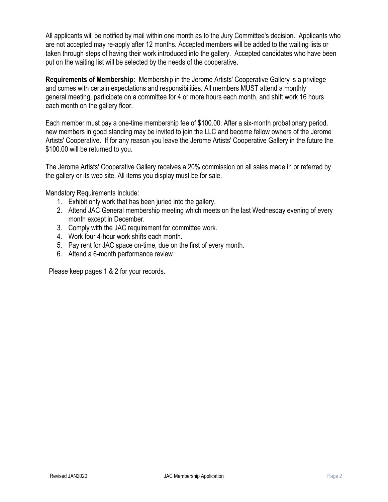All applicants will be notified by mail within one month as to the Jury Committee's decision. Applicants who are not accepted may re-apply after 12 months. Accepted members will be added to the waiting lists or taken through steps of having their work introduced into the gallery. Accepted candidates who have been put on the waiting list will be selected by the needs of the cooperative.

**Requirements of Membership:** Membership in the Jerome Artists' Cooperative Gallery is a privilege and comes with certain expectations and responsibilities. All members MUST attend a monthly general meeting, participate on a committee for 4 or more hours each month, and shift work 16 hours each month on the gallery floor.

Each member must pay a one-time membership fee of \$100.00. After a six-month probationary period, new members in good standing may be invited to join the LLC and become fellow owners of the Jerome Artists' Cooperative. If for any reason you leave the Jerome Artists' Cooperative Gallery in the future the \$100.00 will be returned to you.

The Jerome Artists' Cooperative Gallery receives a 20% commission on all sales made in or referred by the gallery or its web site. All items you display must be for sale.

Mandatory Requirements Include:

- 1. Exhibit only work that has been juried into the gallery.
- 2. Attend JAC General membership meeting which meets on the last Wednesday evening of every month except in December.
- 3. Comply with the JAC requirement for committee work.
- 4. Work four 4-hour work shifts each month.
- 5. Pay rent for JAC space on-time, due on the first of every month.
- 6. Attend a 6-month performance review

Please keep pages 1 & 2 for your records.